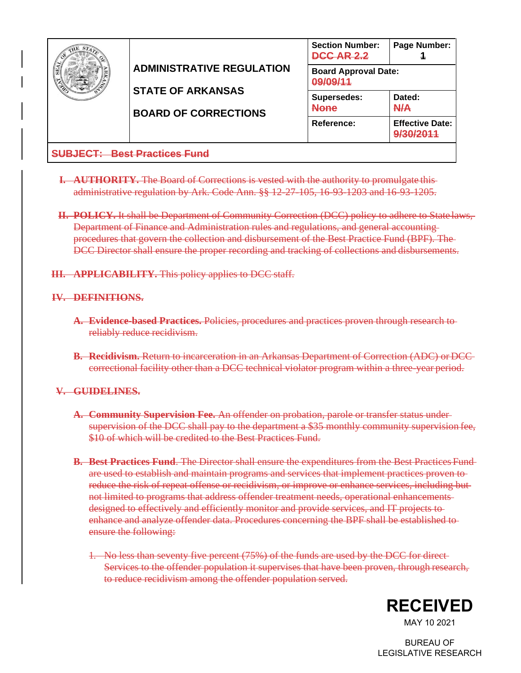|                                                  | <b>ADMINISTRATIVE REGULATION</b><br><b>STATE OF ARKANSAS</b><br><b>BOARD OF CORRECTIONS</b> | <b>Section Number:</b><br><b>DCC AR 2.2</b>    | Page Number:                        |  |  |
|--------------------------------------------------|---------------------------------------------------------------------------------------------|------------------------------------------------|-------------------------------------|--|--|
|                                                  |                                                                                             | <b>Board Approval Date:</b><br><u>00/00/11</u> |                                     |  |  |
|                                                  |                                                                                             | Supersedes:<br>None                            | Dated:<br><b>N/A</b>                |  |  |
|                                                  |                                                                                             | Reference:                                     | <b>Effective Date:</b><br>0/20/2011 |  |  |
| <b>Best Practices Fund</b><br><u> IR IFAT: L</u> |                                                                                             |                                                |                                     |  |  |

- **I. AUTHORITY.** The Board of Corrections is vested with the authority to promulgate this administrative regulation by Ark. Code Ann. §§ 12-27-105, 16-93-1203 and 16-93-1205.
- **II. POLICY.** It shall be Department of Community Correction (DCC) policy to adhere to State laws, Department of Finance and Administration rules and regulations, and general accounting procedures that govern the collection and disbursement of the Best Practice Fund (BPF). The DCC Director shall ensure the proper recording and tracking of collections and disbursements.
- **III. APPLICABILITY.** This policy applies to DCC staff.

## **IV. DEFINITIONS.**

- **A. Evidence-based Practices.** Policies, procedures and practices proven through research to reliably reduce recidivism.
- **B. Recidivism.** Return to incarceration in an Arkansas Department of Correction (ADC) or DCC correctional facility other than a DCC technical violator program within a three-year period.

## **V. GUIDELINES.**

- **A. Community Supervision Fee.** An offender on probation, parole or transfer status under supervision of the DCC shall pay to the department a \$35 monthly community supervision fee, \$10 of which will be credited to the Best Practices Fund.
- **B. Best Practices Fund**. The Director shall ensure the expenditures from the Best Practices Fund are used to establish and maintain programs and services that implement practices proven to reduce the risk of repeat offense or recidivism, or improve or enhance services, including but not limited to programs that address offender treatment needs, operational enhancements designed to effectively and efficiently monitor and provide services, and IT projects to enhance and analyze offender data. Procedures concerning the BPF shall be established to ensure the following:
	- 1. No less than seventy five percent (75%) of the funds are used by the DCC for direct Services to the offender population it supervises that have been proven, through research, to reduce recidivism among the offender population served.



MAY 10 2021

BUREAU OF LEGISLATIVE RESEARCH